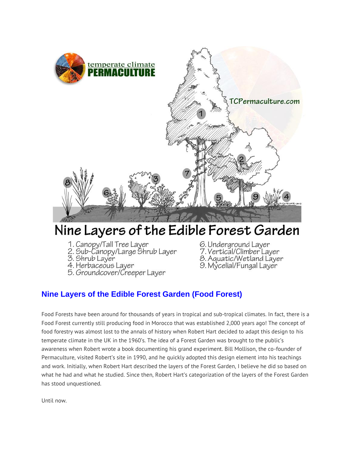

# Nine Layers of the Edible Forest Garden

- 1. Canopy/Tall Tree Layer
- 2. Sub-Canopy/Large Shrub Layer<br>3. Shrub Layer
- 
- 4. Herbaceous Layer
- 5. Groundcover/Creeper Layer
- 6. Underground Layer
- 7. Vertical/Climber Layer
- .<br>8. Aquatic/Wetland Layer<br>9. Mycelial/Fungal Layer
- 

# Nine Layers of the Edible Forest Garden (Food Forest)

Food Forests have been around for thousands of years in tropical and sub-tropical climates. In fact, there is a Food Forest currently still producing food in Morocco that was established 2,000 years ago! The concept of food forestry was almost lost to the annals of history when Robert Hart decided to adapt this design to his temperate climate in the UK in the 1960's. The idea of a Forest Garden was brought to the public's awareness when Robert wrote a book documenting his grand experiment. Bill Mollison, the co-founder of Permaculture, visited Robert's site in 1990, and he quickly adopted this design element into his teachings and work. Initially, when Robert Hart described the layers of the Forest Garden, I believe he did so based on what he had and what he studied. Since then, Robert Hart's categorization of the layers of the Forest Garden has stood unquestioned.

Until now.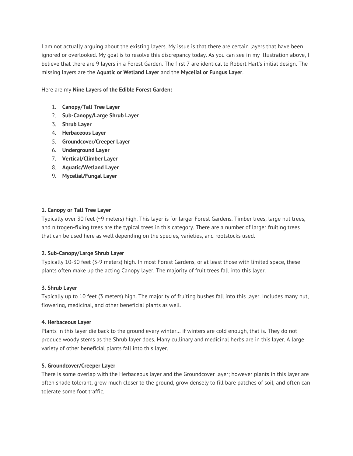I am not actually arguing about the existing layers. My issue is that there are certain layers that have been ignored or overlooked. My goal is to resolve this discrepancy today. As you can see in my illustration above, I believe that there are 9 layers in a Forest Garden. The first 7 are identical to Robert Hart's initial design. The missing layers are the **Aquatic or Wetland Layer** and the **Mycelial or Fungus Layer**.

Here are my **Nine Layers of the Edible Forest Garden:**

- 1. **Canopy/Tall Tree Layer**
- 2. **Sub-Canopy/Large Shrub Layer**
- 3. **Shrub Layer**
- 4. **Herbaceous Layer**
- 5. **Groundcover/Creeper Layer**
- 6. **Underground Layer**
- 7. **Vertical/Climber Layer**
- 8. **Aquatic/Wetland Layer**
- 9. **Mycelial/Fungal Layer**

#### **1. Canopy or Tall Tree Layer**

Typically over 30 feet (~9 meters) high. This layer is for larger Forest Gardens. Timber trees, large nut trees, and nitrogen-fixing trees are the typical trees in this category. There are a number of larger fruiting trees that can be used here as well depending on the species, varieties, and rootstocks used.

# **2. Sub-Canopy/Large Shrub Layer**

Typically 10-30 feet (3-9 meters) high. In most Forest Gardens, or at least those with limited space, these plants often make up the acting Canopy layer. The majority of fruit trees fall into this layer.

#### **3. Shrub Layer**

Typically up to 10 feet (3 meters) high. The majority of fruiting bushes fall into this layer. Includes many nut, flowering, medicinal, and other beneficial plants as well.

#### **4. Herbaceous Layer**

Plants in this layer die back to the ground every winter… if winters are cold enough, that is. They do not produce woody stems as the Shrub layer does. Many cullinary and medicinal herbs are in this layer. A large variety of other beneficial plants fall into this layer.

#### **5. Groundcover/Creeper Layer**

There is some overlap with the Herbaceous layer and the Groundcover layer; however plants in this layer are often shade tolerant, grow much closer to the ground, grow densely to fill bare patches of soil, and often can tolerate some foot traffic.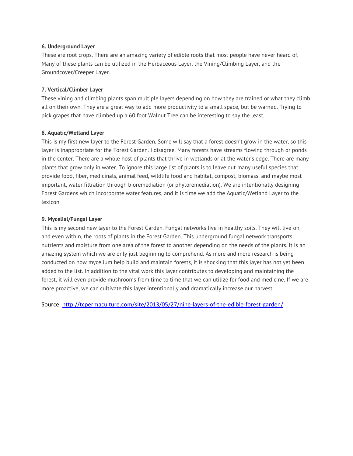# **6. Underground Layer**

These are root crops. There are an amazing variety of edible roots that most people have never heard of. Many of these plants can be utilized in the Herbaceous Layer, the Vining/Climbing Layer, and the Groundcover/Creeper Layer.

### **7. Vertical/Climber Layer**

These vining and climbing plants span multiple layers depending on how they are trained or what they climb all on their own. They are a great way to add more productivity to a small space, but be warned. Trying to pick grapes that have climbed up a 60 foot Walnut Tree can be interesting to say the least.

#### **8. Aquatic/Wetland Layer**

This is my first new layer to the Forest Garden. Some will say that a forest doesn't grow in the water, so this layer is inappropriate for the Forest Garden. I disagree. Many forests have streams flowing through or ponds in the center. There are a whole host of plants that thrive in wetlands or at the water's edge. There are many plants that grow only in water. To ignore this large list of plants is to leave out many useful species that provide food, fiber, medicinals, animal feed, wildlife food and habitat, compost, biomass, and maybe most important, water filtration through bioremediation (or phytoremediation). We are intentionally designing Forest Gardens which incorporate water features, and it is time we add the Aquatic/Wetland Layer to the lexicon.

#### **9. Mycelial/Fungal Layer**

This is my second new layer to the Forest Garden. Fungal networks live in healthy soils. They will live on, and even within, the roots of plants in the Forest Garden. This underground fungal network transports nutrients and moisture from one area of the forest to another depending on the needs of the plants. It is an amazing system which we are only just beginning to comprehend. As more and more research is being conducted on how mycelium help build and maintain forests, it is shocking that this layer has not yet been added to the list. In addition to the vital work this layer contributes to developing and maintaining the forest, it will even provide mushrooms from time to time that we can utilize for food and medicine. If we are more proactive, we can cultivate this layer intentionally and dramatically increase our harvest.

Source:<http://tcpermaculture.com/site/2013/05/27/nine-layers-of-the-edible-forest-garden/>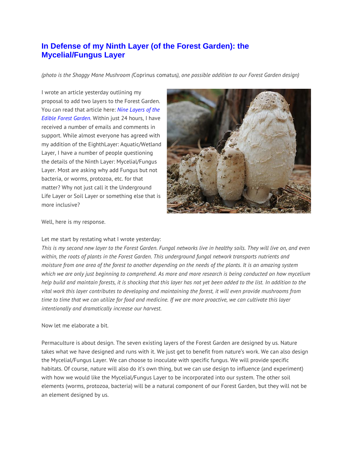# **[In Defense of my Ninth Layer \(of the Forest Garden\): the](http://tcpermaculture.com/site/2013/05/28/in-defense-of-my-ninth-layer-of-the-forest-garden/)  [Mycelial/Fungus Layer](http://tcpermaculture.com/site/2013/05/28/in-defense-of-my-ninth-layer-of-the-forest-garden/)**

*(photo is the Shaggy Mane Mushroom (*Coprinus comatus*), one possible addition to our Forest Garden design)*

I wrote an article yesterday outlining my proposal to add two layers to the Forest Garden. You can read that article here: *[Nine Layers of the](http://tcpermaculture.com/site/2013/05/27/nine-layers-of-the-edible-forest-garden/)  [Edible Forest Garden](http://tcpermaculture.com/site/2013/05/27/nine-layers-of-the-edible-forest-garden/)*. Within just 24 hours, I have received a number of emails and comments in support. While almost everyone has agreed with my addition of the EighthLayer: Aquatic/Wetland Layer, I have a number of people questioning the details of the Ninth Layer: Mycelial/Fungus Layer. Most are asking why add Fungus but not bacteria, or worms, protozoa, etc. for that matter? Why not just call it the Underground Life Layer or Soil Layer or something else that is more inclusive?



Well, here is my response.

# Let me start by restating what I wrote yesterday:

*This is my second new layer to the Forest Garden. Fungal networks live in healthy soils. They will live on, and even within, the roots of plants in the Forest Garden. This underground fungal network transports nutrients and moisture from one area of the forest to another depending on the needs of the plants. It is an amazing system which we are only just beginning to comprehend. As more and more research is being conducted on how mycelium help build and maintain forests, it is shocking that this layer has not yet been added to the list. In addition to the vital work this layer contributes to developing and maintaining the forest, it will even provide mushrooms from time to time that we can utilize for food and medicine. If we are more proactive, we can cultivate this layer intentionally and dramatically increase our harvest.*

#### Now let me elaborate a bit.

Permaculture is about design. The seven existing layers of the Forest Garden are designed by us. Nature takes what we have designed and runs with it. We just get to benefit from nature's work. We can also design the Mycelial/Fungus Layer. We can choose to inoculate with specific fungus. We will provide specific habitats. Of course, nature will also do it's own thing, but we can use design to influence (and experiment) with how we would like the Mycelial/Fungus Layer to be incorporated into our system. The other soil elements (worms, protozoa, bacteria) will be a natural component of our Forest Garden, but they will not be an element designed by us.